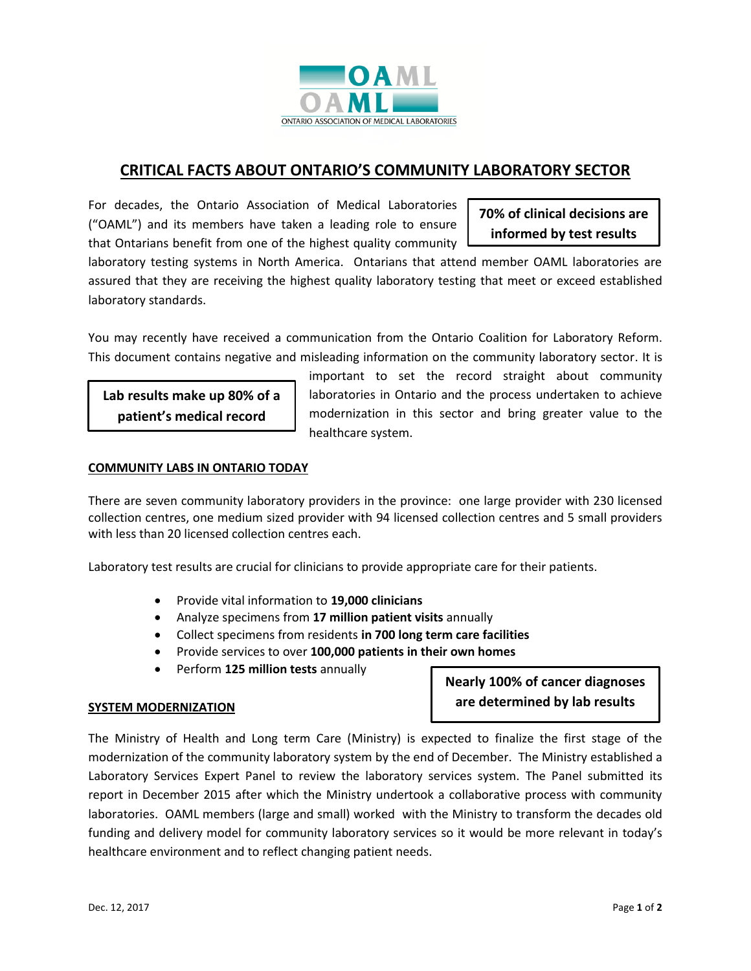

# **CRITICAL FACTS ABOUT ONTARIO'S COMMUNITY LABORATORY SECTOR**

For decades, the Ontario Association of Medical Laboratories ("OAML") and its members have taken a leading role to ensure that Ontarians benefit from one of the highest quality community

**70% of clinical decisions are informed by test results**

laboratory testing systems in North America. Ontarians that attend member OAML laboratories are assured that they are receiving the highest quality laboratory testing that meet or exceed established laboratory standards.

You may recently have received a communication from the Ontario Coalition for Laboratory Reform. This document contains negative and misleading information on the community laboratory sector. It is

**Lab results make up 80% of a patient's medical record**

important to set the record straight about community laboratories in Ontario and the process undertaken to achieve modernization in this sector and bring greater value to the healthcare system.

## **COMMUNITY LABS IN ONTARIO TODAY**

There are seven community laboratory providers in the province: one large provider with 230 licensed collection centres, one medium sized provider with 94 licensed collection centres and 5 small providers with less than 20 licensed collection centres each.

Laboratory test results are crucial for clinicians to provide appropriate care for their patients.

- Provide vital information to **19,000 clinicians**
- Analyze specimens from **17 million patient visits** annually
- Collect specimens from residents **in 700 long term care facilities**
- Provide services to over **100,000 patients in their own homes**
- Perform **125 million tests** annually

## **SYSTEM MODERNIZATION**

**Nearly 100% of cancer diagnoses are determined by lab results**

The Ministry of Health and Long term Care (Ministry) is expected to finalize the first stage of the modernization of the community laboratory system by the end of December. The Ministry established a Laboratory Services Expert Panel to review the laboratory services system. The Panel submitted its report in December 2015 after which the Ministry undertook a collaborative process with community laboratories. OAML members (large and small) worked with the Ministry to transform the decades old funding and delivery model for community laboratory services so it would be more relevant in today's healthcare environment and to reflect changing patient needs.